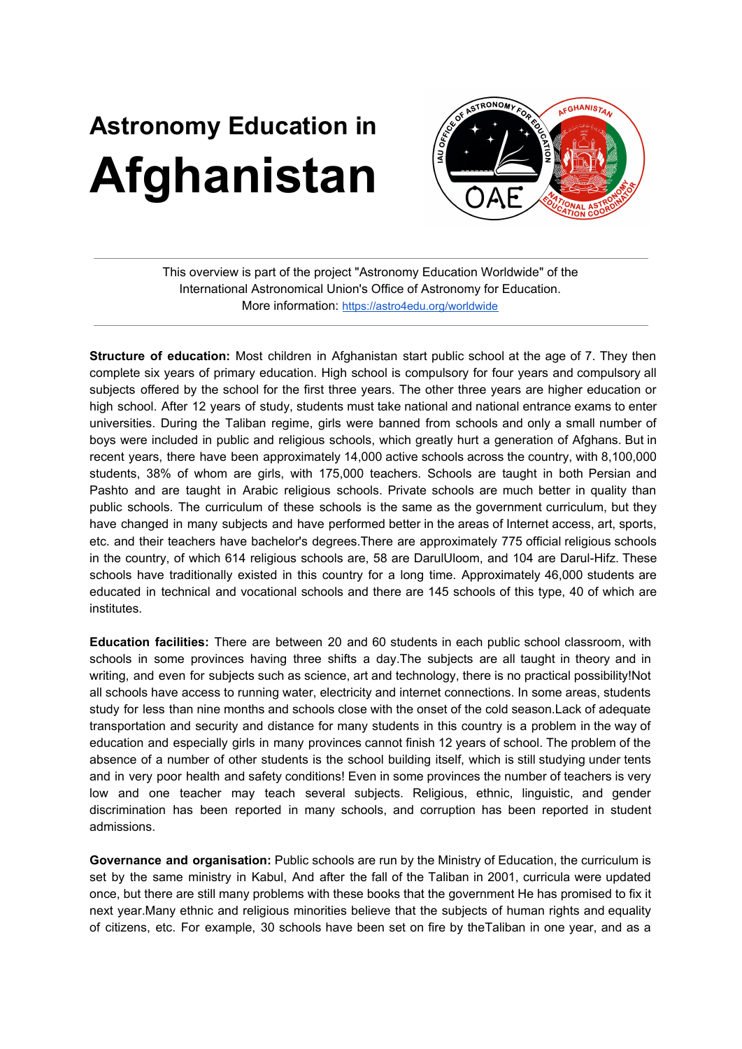## **Astronomy Education in Afghanistan**



This overview is part of the project "Astronomy Education Worldwide" of the International Astronomical Union's Office of Astronomy for Education. More information: <https://astro4edu.org/worldwide>

**Structure of education:** Most children in Afghanistan start public school at the age of 7. They then complete six years of primary education. High school is compulsory for four years and compulsory all subjects offered by the school for the first three years. The other three years are higher education or high school. After 12 years of study, students must take national and national entrance exams to enter universities. During the Taliban regime, girls were banned from schools and only a small number of boys were included in public and religious schools, which greatly hurt a generation of Afghans. But in recent years, there have been approximately 14,000 active schools across the country, with 8,100,000 students, 38% of whom are girls, with 175,000 teachers. Schools are taught in both Persian and Pashto and are taught in Arabic religious schools. Private schools are much better in quality than public schools. The curriculum of these schools is the same as the government curriculum, but they have changed in many subjects and have performed better in the areas of Internet access, art, sports, etc. and their teachers have bachelor's degrees.There are approximately 775 official religious schools in the country, of which 614 religious schools are, 58 are DarulUloom, and 104 are Darul-Hifz. These schools have traditionally existed in this country for a long time. Approximately 46,000 students are educated in technical and vocational schools and there are 145 schools of this type, 40 of which are institutes.

**Education facilities:** There are between 20 and 60 students in each public school classroom, with schools in some provinces having three shifts a day.The subjects are all taught in theory and in writing, and even for subjects such as science, art and technology, there is no practical possibility!Not all schools have access to running water, electricity and internet connections. In some areas, students study for less than nine months and schools close with the onset of the cold season.Lack of adequate transportation and security and distance for many students in this country is a problem in the way of education and especially girls in many provinces cannot finish 12 years of school. The problem of the absence of a number of other students is the school building itself, which is still studying under tents and in very poor health and safety conditions! Even in some provinces the number of teachers is very low and one teacher may teach several subjects. Religious, ethnic, linguistic, and gender discrimination has been reported in many schools, and corruption has been reported in student admissions.

**Governance and organisation:** Public schools are run by the Ministry of Education, the curriculum is set by the same ministry in Kabul, And after the fall of the Taliban in 2001, curricula were updated once, but there are still many problems with these books that the government He has promised to fix it next year.Many ethnic and religious minorities believe that the subjects of human rights and equality of citizens, etc. For example, 30 schools have been set on fire by theTaliban in one year, and as a